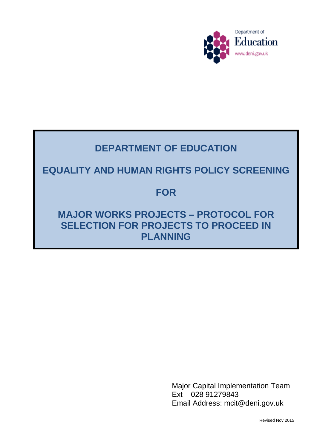

# **DEPARTMENT OF EDUCATION**

# **EQUALITY AND HUMAN RIGHTS POLICY SCREENING**

### **FOR**

## **MAJOR WORKS PROJECTS – PROTOCOL FOR SELECTION FOR PROJECTS TO PROCEED IN PLANNING**

Major Capital Implementation Team Ext 028 91279843 Email Address: mcit@deni.gov.uk

Revised Nov 2015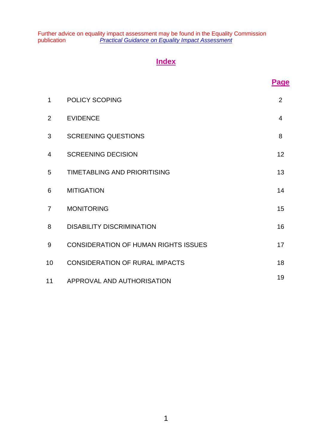Further advice on equality impact assessment may be found in the Equality Commission publication *[Practical Guidance on Equality Impact Assessment](http://www.equalityni.org/ECNI/media/ECNI/Publications/Employers%20and%20Service%20Providers/PracticalGuidanceonEQIA2005.pdf)*

### **Index**

| 1               | <b>POLICY SCOPING</b>                       | 2  |
|-----------------|---------------------------------------------|----|
| 2               | <b>EVIDENCE</b>                             | 4  |
| 3               | <b>SCREENING QUESTIONS</b>                  | 8  |
| $\overline{4}$  | <b>SCREENING DECISION</b>                   | 12 |
| 5               | <b>TIMETABLING AND PRIORITISING</b>         | 13 |
| 6               | <b>MITIGATION</b>                           | 14 |
| $\overline{7}$  | <b>MONITORING</b>                           | 15 |
| 8               | <b>DISABILITY DISCRIMINATION</b>            | 16 |
| 9               | <b>CONSIDERATION OF HUMAN RIGHTS ISSUES</b> | 17 |
| 10 <sup>°</sup> | <b>CONSIDERATION OF RURAL IMPACTS</b>       | 18 |
| 11              | APPROVAL AND AUTHORISATION                  | 19 |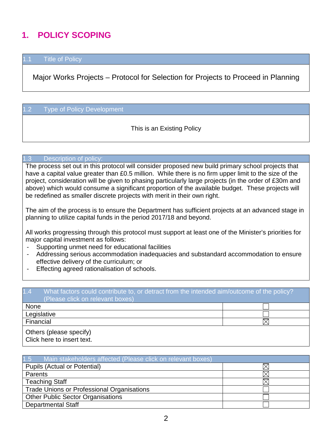# **1. POLICY SCOPING**

### **Title of Policy**

Major Works Projects – Protocol for Selection for Projects to Proceed in Planning

#### 1.2 Type of Policy Development

This is an Existing Policy

#### 1.3 Description of policy:

The process set out in this protocol will consider proposed new build primary school projects that have a capital value greater than £0.5 million. While there is no firm upper limit to the size of the project, consideration will be given to phasing particularly large projects (in the order of £30m and above) which would consume a significant proportion of the available budget. These projects will be redefined as smaller discrete projects with merit in their own right.

The aim of the process is to ensure the Department has sufficient projects at an advanced stage in planning to utilize capital funds in the period 2017/18 and beyond.

All works progressing through this protocol must support at least one of the Minister's priorities for major capital investment as follows:

- Supporting unmet need for educational facilities
- Addressing serious accommodation inadequacies and substandard accommodation to ensure effective delivery of the curriculum; or
- Effecting agreed rationalisation of schools.

| 1.4<br>What factors could contribute to, or detract from the intended aim/outcome of the policy?<br>(Please click on relevant boxes) |  |  |
|--------------------------------------------------------------------------------------------------------------------------------------|--|--|
| <b>None</b>                                                                                                                          |  |  |
| Legislative                                                                                                                          |  |  |
| Financial                                                                                                                            |  |  |
| Others (please specify)<br>Click here to insert text.                                                                                |  |  |

| 1.5<br>Main stakeholders affected (Please click on relevant boxes) |  |
|--------------------------------------------------------------------|--|
| Pupils (Actual or Potential)                                       |  |
| <b>Parents</b>                                                     |  |
| <b>Teaching Staff</b>                                              |  |
| <b>Trade Unions or Professional Organisations</b>                  |  |
| <b>Other Public Sector Organisations</b>                           |  |
| <b>Departmental Staff</b>                                          |  |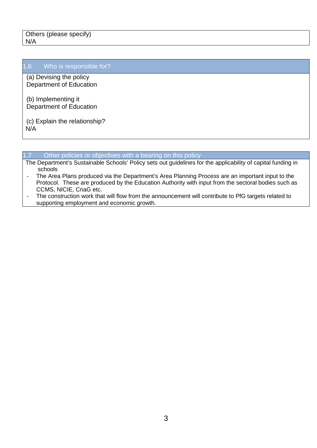### 1.6 Who is responsible for?

(a) Devising the policy Department of Education

(b) Implementing it Department of Education

(c) Explain the relationship? N/A

#### 1.7 Other policies or objectives with a bearing on this policy

- The Department's Sustainable Schools' Policy sets out guidelines for the applicability of capital funding in schools
- The Area Plans produced via the Department's Area Planning Process are an important input to the Protocol. These are produced by the Education Authority with input from the sectoral bodies such as CCMS, NICIE, CnaG etc.
- The construction work that will flow from the announcement will contribute to PfG targets related to supporting employment and economic growth.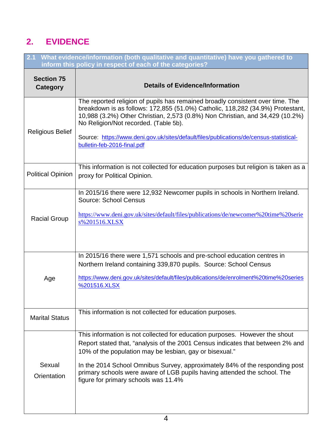# **2. EVIDENCE**

| 2.1 What evidence/information (both qualitative and quantitative) have you gathered to<br>inform this policy in respect of each of the categories? |                                                                                                                                                                                                                                                                                                                                                                                                                             |  |  |
|----------------------------------------------------------------------------------------------------------------------------------------------------|-----------------------------------------------------------------------------------------------------------------------------------------------------------------------------------------------------------------------------------------------------------------------------------------------------------------------------------------------------------------------------------------------------------------------------|--|--|
| <b>Section 75</b><br>Category                                                                                                                      | <b>Details of Evidence/Information</b>                                                                                                                                                                                                                                                                                                                                                                                      |  |  |
| <b>Religious Belief</b>                                                                                                                            | The reported religion of pupils has remained broadly consistent over time. The<br>breakdown is as follows: 172,855 (51.0%) Catholic, 118,282 (34.9%) Protestant,<br>10,988 (3.2%) Other Christian, 2,573 (0.8%) Non Christian, and 34,429 (10.2%)<br>No Religion/Not recorded. (Table 5b).<br>Source: https://www.deni.gov.uk/sites/default/files/publications/de/census-statistical-<br>bulletin-feb-2016-final.pdf        |  |  |
| <b>Political Opinion</b>                                                                                                                           | This information is not collected for education purposes but religion is taken as a<br>proxy for Political Opinion.                                                                                                                                                                                                                                                                                                         |  |  |
| <b>Racial Group</b>                                                                                                                                | In 2015/16 there were 12,932 Newcomer pupils in schools in Northern Ireland.<br><b>Source: School Census</b><br>https://www.deni.gov.uk/sites/default/files/publications/de/newcomer%20time%20serie<br>s%201516.XLSX                                                                                                                                                                                                        |  |  |
| Age                                                                                                                                                | In 2015/16 there were 1,571 schools and pre-school education centres in<br>Northern Ireland containing 339,870 pupils. Source: School Census<br>https://www.deni.gov.uk/sites/default/files/publications/de/enrolment%20time%20series<br>%201516.XLSX                                                                                                                                                                       |  |  |
| <b>Marital Status</b>                                                                                                                              | This information is not collected for education purposes.                                                                                                                                                                                                                                                                                                                                                                   |  |  |
| Sexual<br>Orientation                                                                                                                              | This information is not collected for education purposes. However the shout<br>Report stated that, "analysis of the 2001 Census indicates that between 2% and<br>10% of the population may be lesbian, gay or bisexual."<br>In the 2014 School Omnibus Survey, approximately 84% of the responding post<br>primary schools were aware of LGB pupils having attended the school. The<br>figure for primary schools was 11.4% |  |  |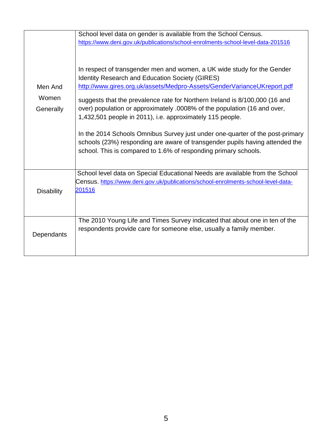|                               | School level data on gender is available from the School Census.<br>https://www.deni.gov.uk/publications/school-enrolments-school-level-data-201516                                                                                                                                                                                                                                                                                  |
|-------------------------------|--------------------------------------------------------------------------------------------------------------------------------------------------------------------------------------------------------------------------------------------------------------------------------------------------------------------------------------------------------------------------------------------------------------------------------------|
| Men And<br>Women<br>Generally | In respect of transgender men and women, a UK wide study for the Gender<br><b>Identity Research and Education Society (GIRES)</b><br>http://www.gires.org.uk/assets/Medpro-Assets/GenderVarianceUKreport.pdf<br>suggests that the prevalence rate for Northern Ireland is 8/100,000 (16 and<br>over) population or approximately .0008% of the population (16 and over,<br>1,432,501 people in 2011), i.e. approximately 115 people. |
|                               | In the 2014 Schools Omnibus Survey just under one-quarter of the post-primary<br>schools (23%) responding are aware of transgender pupils having attended the<br>school. This is compared to 1.6% of responding primary schools.                                                                                                                                                                                                     |
| <b>Disability</b>             | School level data on Special Educational Needs are available from the School<br>Census. https://www.deni.gov.uk/publications/school-enrolments-school-level-data-<br><u> 201516</u>                                                                                                                                                                                                                                                  |
| Dependants                    | The 2010 Young Life and Times Survey indicated that about one in ten of the<br>respondents provide care for someone else, usually a family member.                                                                                                                                                                                                                                                                                   |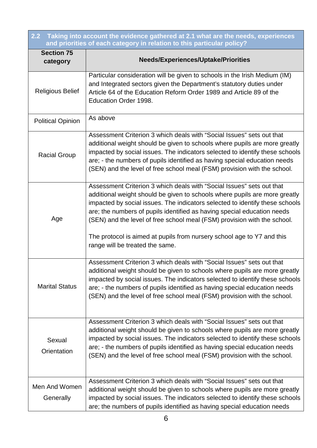| $\overline{2.2}$<br>Taking into account the evidence gathered at 2.1 what are the needs, experiences<br>and priorities of each category in relation to this particular policy? |                                                                                                                                                                                                                                                                                                                                                                                                                                                                                                         |  |  |
|--------------------------------------------------------------------------------------------------------------------------------------------------------------------------------|---------------------------------------------------------------------------------------------------------------------------------------------------------------------------------------------------------------------------------------------------------------------------------------------------------------------------------------------------------------------------------------------------------------------------------------------------------------------------------------------------------|--|--|
| <b>Section 75</b><br>category                                                                                                                                                  | <b>Needs/Experiences/Uptake/Priorities</b>                                                                                                                                                                                                                                                                                                                                                                                                                                                              |  |  |
| <b>Religious Belief</b>                                                                                                                                                        | Particular consideration will be given to schools in the Irish Medium (IM)<br>and Integrated sectors given the Department's statutory duties under<br>Article 64 of the Education Reform Order 1989 and Article 89 of the<br>Education Order 1998.                                                                                                                                                                                                                                                      |  |  |
| <b>Political Opinion</b>                                                                                                                                                       | As above                                                                                                                                                                                                                                                                                                                                                                                                                                                                                                |  |  |
| <b>Racial Group</b>                                                                                                                                                            | Assessment Criterion 3 which deals with "Social Issues" sets out that<br>additional weight should be given to schools where pupils are more greatly<br>impacted by social issues. The indicators selected to identify these schools<br>are; - the numbers of pupils identified as having special education needs<br>(SEN) and the level of free school meal (FSM) provision with the school.                                                                                                            |  |  |
| Age                                                                                                                                                                            | Assessment Criterion 3 which deals with "Social Issues" sets out that<br>additional weight should be given to schools where pupils are more greatly<br>impacted by social issues. The indicators selected to identify these schools<br>are; the numbers of pupils identified as having special education needs<br>(SEN) and the level of free school meal (FSM) provision with the school.<br>The protocol is aimed at pupils from nursery school age to Y7 and this<br>range will be treated the same. |  |  |
| <b>Marital Status</b>                                                                                                                                                          | Assessment Criterion 3 which deals with "Social Issues" sets out that<br>additional weight should be given to schools where pupils are more greatly<br>impacted by social issues. The indicators selected to identify these schools<br>are; - the numbers of pupils identified as having special education needs<br>(SEN) and the level of free school meal (FSM) provision with the school.                                                                                                            |  |  |
| Sexual<br>Orientation                                                                                                                                                          | Assessment Criterion 3 which deals with "Social Issues" sets out that<br>additional weight should be given to schools where pupils are more greatly<br>impacted by social issues. The indicators selected to identify these schools<br>are; - the numbers of pupils identified as having special education needs<br>(SEN) and the level of free school meal (FSM) provision with the school.                                                                                                            |  |  |
| Men And Women<br>Generally                                                                                                                                                     | Assessment Criterion 3 which deals with "Social Issues" sets out that<br>additional weight should be given to schools where pupils are more greatly<br>impacted by social issues. The indicators selected to identify these schools<br>are; the numbers of pupils identified as having special education needs                                                                                                                                                                                          |  |  |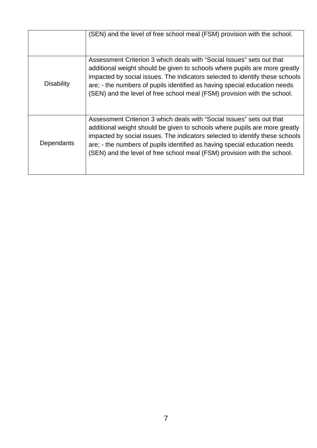|                   | (SEN) and the level of free school meal (FSM) provision with the school.                                                                                                                                                                                                                                                                                                                     |
|-------------------|----------------------------------------------------------------------------------------------------------------------------------------------------------------------------------------------------------------------------------------------------------------------------------------------------------------------------------------------------------------------------------------------|
| <b>Disability</b> | Assessment Criterion 3 which deals with "Social Issues" sets out that<br>additional weight should be given to schools where pupils are more greatly<br>impacted by social issues. The indicators selected to identify these schools<br>are; - the numbers of pupils identified as having special education needs<br>(SEN) and the level of free school meal (FSM) provision with the school. |
| Dependants        | Assessment Criterion 3 which deals with "Social Issues" sets out that<br>additional weight should be given to schools where pupils are more greatly<br>impacted by social issues. The indicators selected to identify these schools<br>are; - the numbers of pupils identified as having special education needs<br>(SEN) and the level of free school meal (FSM) provision with the school. |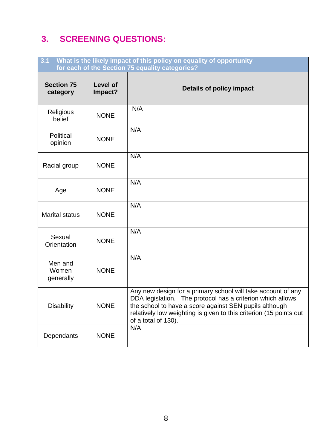## **3. SCREENING QUESTIONS:**

| 3.1<br>What is the likely impact of this policy on equality of opportunity<br>for each of the Section 75 equality categories? |                            |                                                                                                                                                                                                                                                                                   |  |
|-------------------------------------------------------------------------------------------------------------------------------|----------------------------|-----------------------------------------------------------------------------------------------------------------------------------------------------------------------------------------------------------------------------------------------------------------------------------|--|
| <b>Section 75</b><br>category                                                                                                 | <b>Level of</b><br>Impact? | <b>Details of policy impact</b>                                                                                                                                                                                                                                                   |  |
| Religious<br>belief                                                                                                           | <b>NONE</b>                | N/A                                                                                                                                                                                                                                                                               |  |
| Political<br>opinion                                                                                                          | <b>NONE</b>                | N/A                                                                                                                                                                                                                                                                               |  |
| Racial group                                                                                                                  | <b>NONE</b>                | N/A                                                                                                                                                                                                                                                                               |  |
| Age                                                                                                                           | <b>NONE</b>                | N/A                                                                                                                                                                                                                                                                               |  |
| <b>Marital status</b>                                                                                                         | <b>NONE</b>                | N/A                                                                                                                                                                                                                                                                               |  |
| Sexual<br>Orientation                                                                                                         | <b>NONE</b>                | N/A                                                                                                                                                                                                                                                                               |  |
| Men and<br>Women<br>generally                                                                                                 | <b>NONE</b>                | N/A                                                                                                                                                                                                                                                                               |  |
| <b>Disability</b>                                                                                                             | <b>NONE</b>                | Any new design for a primary school will take account of any<br>DDA legislation. The protocol has a criterion which allows<br>the school to have a score against SEN pupils although<br>relatively low weighting is given to this criterion (15 points out<br>of a total of 130). |  |
| Dependants                                                                                                                    | <b>NONE</b>                | N/A                                                                                                                                                                                                                                                                               |  |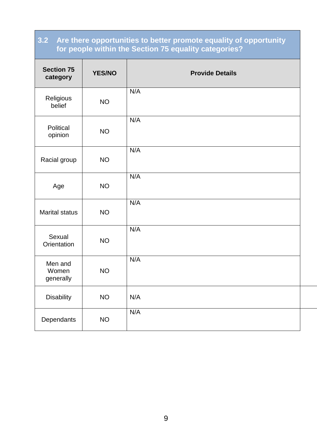### **3.2 Are there opportunities to better promote equality of opportunity for people within the Section 75 equality categories?**

| <b>Section 75</b><br>category | <b>YES/NO</b> | <b>Provide Details</b> |
|-------------------------------|---------------|------------------------|
| Religious<br>belief           | <b>NO</b>     | N/A                    |
| Political<br>opinion          | <b>NO</b>     | N/A                    |
| Racial group                  | <b>NO</b>     | N/A                    |
| Age                           | <b>NO</b>     | N/A                    |
| <b>Marital status</b>         | <b>NO</b>     | N/A                    |
| Sexual<br>Orientation         | <b>NO</b>     | N/A                    |
| Men and<br>Women<br>generally | <b>NO</b>     | N/A                    |
| <b>Disability</b>             | <b>NO</b>     | N/A                    |
| Dependants                    | <b>NO</b>     | N/A                    |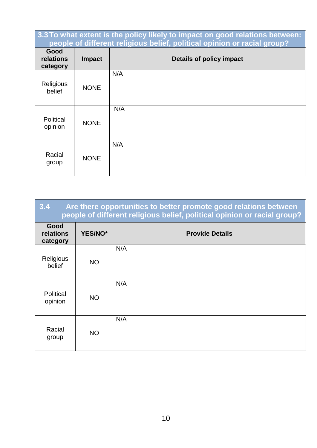| 3.3 To what extent is the policy likely to impact on good relations between:<br>people of different religious belief, political opinion or racial group? |               |                          |  |
|----------------------------------------------------------------------------------------------------------------------------------------------------------|---------------|--------------------------|--|
| Good<br>relations<br>category                                                                                                                            | <b>Impact</b> | Details of policy impact |  |
| Religious<br>belief                                                                                                                                      | <b>NONE</b>   | N/A                      |  |
| Political<br>opinion                                                                                                                                     | <b>NONE</b>   | N/A                      |  |
| Racial<br>group                                                                                                                                          | <b>NONE</b>   | N/A                      |  |

| 3.4<br>Are there opportunities to better promote good relations between<br>people of different religious belief, political opinion or racial group? |           |                        |  |
|-----------------------------------------------------------------------------------------------------------------------------------------------------|-----------|------------------------|--|
| Good<br>relations<br>category                                                                                                                       | YES/NO*   | <b>Provide Details</b> |  |
| Religious<br>belief                                                                                                                                 | <b>NO</b> | N/A                    |  |
| Political<br>opinion                                                                                                                                | <b>NO</b> | N/A                    |  |
| Racial<br>group                                                                                                                                     | <b>NO</b> | N/A                    |  |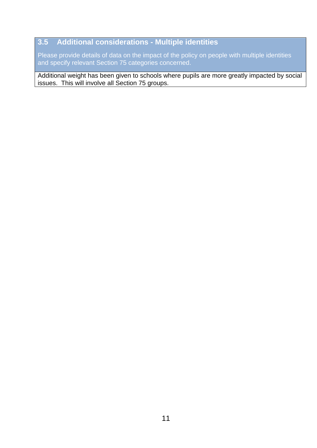### **3.5 Additional considerations - Multiple identities**

Please provide details of data on the impact of the policy on people with multiple identities and specify relevant Section 75 categories concerned.

Additional weight has been given to schools where pupils are more greatly impacted by social issues. This will involve all Section 75 groups.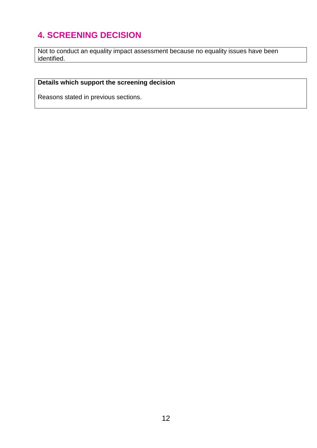# **4. SCREENING DECISION**

Not to conduct an equality impact assessment because no equality issues have been identified.

### **Details which support the screening decision**

Reasons stated in previous sections.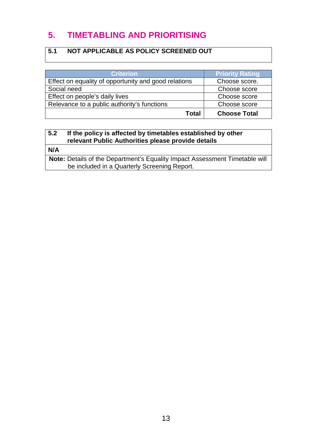### **5. TIMETABLING AND PRIORITISING**

### **5.1 NOT APPLICABLE AS POLICY SCREENED OUT**

| <b>Criterion</b>                                     | <b>Priority Rating</b> |
|------------------------------------------------------|------------------------|
| Effect on equality of opportunity and good relations | Choose score.          |
| Social need                                          | Choose score           |
| Effect on people's daily lives                       | Choose score           |
| Relevance to a public authority's functions          | Choose score           |
| Total                                                | <b>Choose Total</b>    |

### **5.2 If the policy is affected by timetables established by other relevant Public Authorities please provide details**

**N/A**

**Note:** Details of the Department's Equality Impact Assessment Timetable will be included in a Quarterly Screening Report.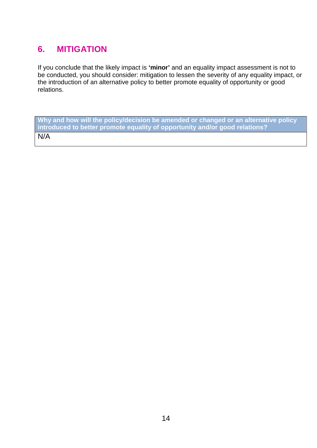### **6. MITIGATION**

If you conclude that the likely impact is **'minor'** and an equality impact assessment is not to be conducted, you should consider: mitigation to lessen the severity of any equality impact, or the introduction of an alternative policy to better promote equality of opportunity or good relations.

**Why and how will the policy/decision be amended or changed or an alternative policy introduced to better promote equality of opportunity and/or good relations?**  N/A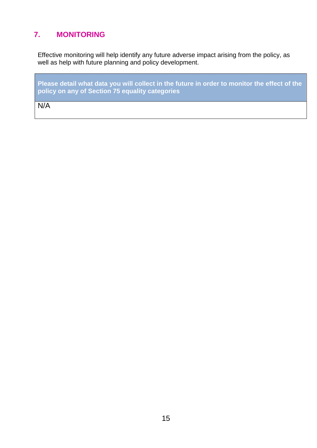### **7. MONITORING**

Effective monitoring will help identify any future adverse impact arising from the policy, as well as help with future planning and policy development.

**Please detail what data you will collect in the future in order to monitor the effect of the policy on any of Section 75 equality categories**

 $N/A$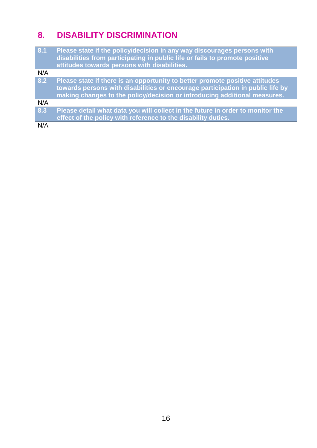# **8. DISABILITY DISCRIMINATION**

| 8.1 | Please state if the policy/decision in any way discourages persons with<br>disabilities from participating in public life or fails to promote positive<br>attitudes towards persons with disabilities.                                      |
|-----|---------------------------------------------------------------------------------------------------------------------------------------------------------------------------------------------------------------------------------------------|
| N/A |                                                                                                                                                                                                                                             |
| 8.2 | Please state if there is an opportunity to better promote positive attitudes<br>towards persons with disabilities or encourage participation in public life by<br>making changes to the policy/decision or introducing additional measures. |
| N/A |                                                                                                                                                                                                                                             |
| 8.3 | Please detail what data you will collect in the future in order to monitor the<br>effect of the policy with reference to the disability duties.                                                                                             |
| N/A |                                                                                                                                                                                                                                             |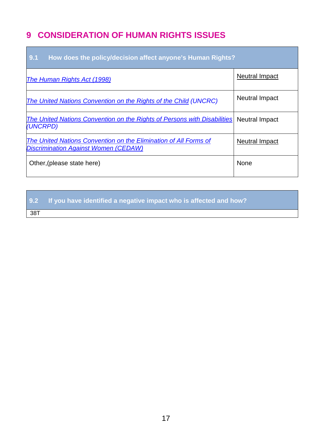### **9 CONSIDERATION OF HUMAN RIGHTS ISSUES**

| 9.1<br>How does the policy/decision affect anyone's Human Rights?                                               |                       |  |
|-----------------------------------------------------------------------------------------------------------------|-----------------------|--|
| The Human Rights Act (1998)                                                                                     | <b>Neutral Impact</b> |  |
| The United Nations Convention on the Rights of the Child (UNCRC)                                                | <b>Neutral Impact</b> |  |
| <b>The United Nations Convention on the Rights of Persons with Disabilities</b><br>(UNCRPD)                     | <b>Neutral Impact</b> |  |
| The United Nations Convention on the Elimination of All Forms of<br><b>Discrimination Against Women (CEDAW)</b> | <b>Neutral Impact</b> |  |
| Other, (please state here)                                                                                      | None                  |  |

**9.2 If you have identified a negative impact who is affected and how?**

38T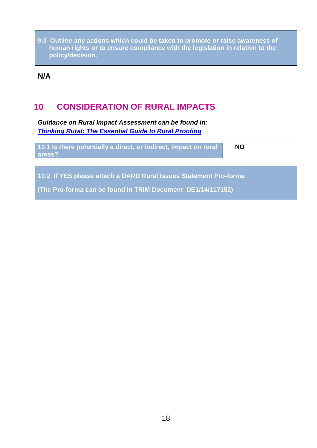**9.3 Outline any actions which could be taken to promote or raise awareness of human rights or to ensure compliance with the legislation in relation to the policy/decision.**

**N/A**

### **10 CONSIDERATION OF RURAL IMPACTS**

*Guidance on Rural Impact Assessment can be found in: [Thinking Rural: The Essential Guide to Rural Proofing](http://www.dardni.gov.uk/guide-to-rural-proofing.pdf)*

| 10.1 Is there potentially a direct, or indirect, impact on rural<br>areas? | <b>NO</b> |
|----------------------------------------------------------------------------|-----------|
|                                                                            |           |

**10.2 If YES please attach a DARD Rural Issues Statement Pro-forma** 

**(The Pro-forma can be found in TRIM Document DE1/14/117152)**